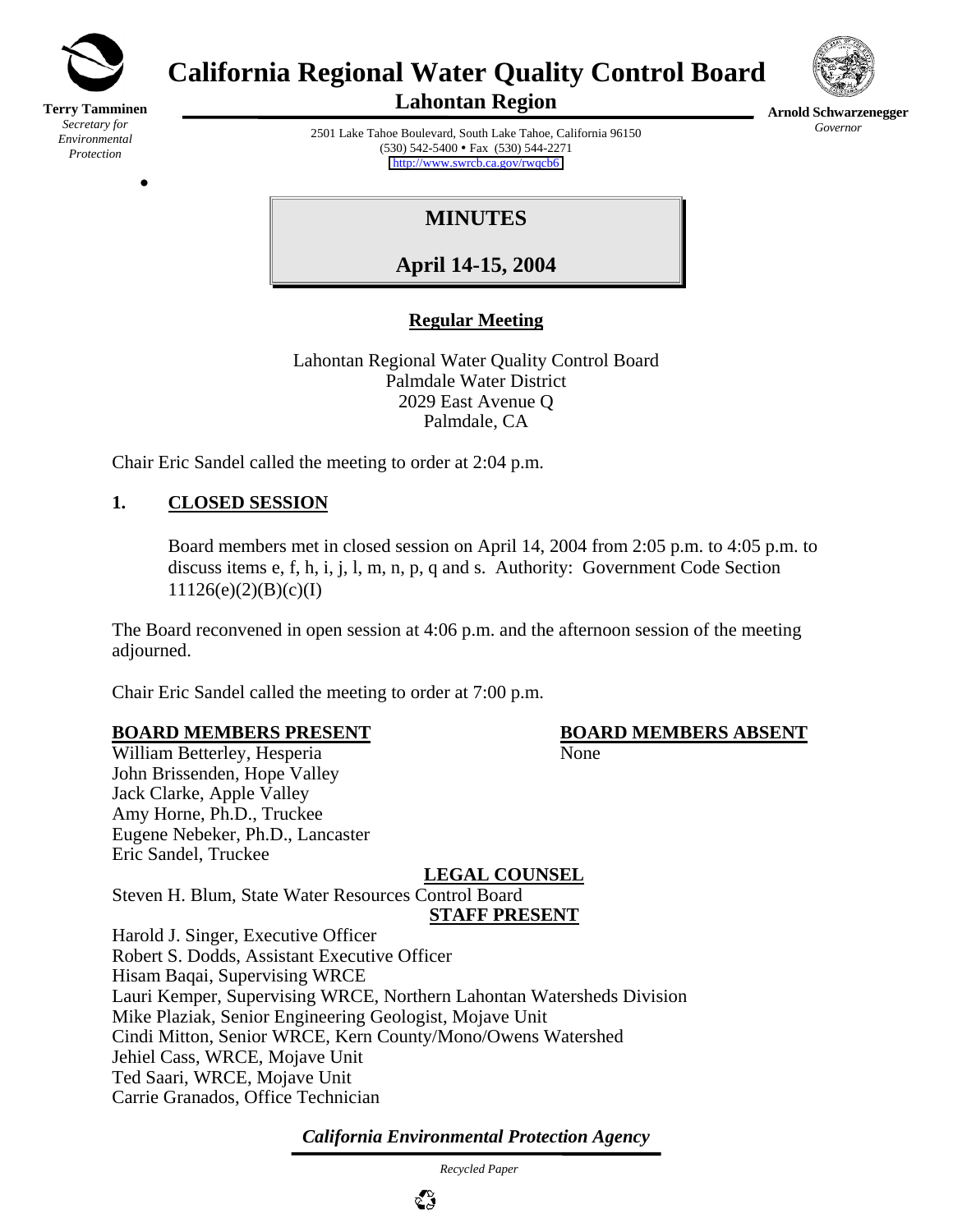

**Terry Tamminen** *Secretary for Environmental Protection*

•

# **California Regional Water Quality Control Board**



**Lahontan Region** 

**Arnold Schwarzenegger** *Governor* 

2501 Lake Tahoe Boulevard, South Lake Tahoe, California 96150  $(530)$  542-5400 • Fax  $(530)$  544-2271 <http://www.swrcb.ca.gov/rwqcb6>

**MINUTES** 

**April 14-15, 2004**

# **Regular Meeting**

Lahontan Regional Water Quality Control Board Palmdale Water District 2029 East Avenue Q Palmdale, CA

Chair Eric Sandel called the meeting to order at 2:04 p.m.

# **1. CLOSED SESSION**

Board members met in closed session on April 14, 2004 from 2:05 p.m. to 4:05 p.m. to discuss items e, f, h, i, j, l, m, n, p, q and s. Authority: Government Code Section  $11126(e)(2)(B)(c)(I)$ 

The Board reconvened in open session at 4:06 p.m. and the afternoon session of the meeting adjourned.

Chair Eric Sandel called the meeting to order at 7:00 p.m.

# **BOARD MEMBERS PRESENT BOARD MEMBERS ABSENT**

William Betterley, Hesperia None John Brissenden, Hope Valley Jack Clarke, Apple Valley Amy Horne, Ph.D., Truckee Eugene Nebeker, Ph.D., Lancaster Eric Sandel, Truckee

**LEGAL COUNSEL** Steven H. Blum, State Water Resources Control Board **STAFF PRESENT** Harold J. Singer, Executive Officer Robert S. Dodds, Assistant Executive Officer Hisam Baqai, Supervising WRCE Lauri Kemper, Supervising WRCE, Northern Lahontan Watersheds Division Mike Plaziak, Senior Engineering Geologist, Mojave Unit

Cindi Mitton, Senior WRCE, Kern County/Mono/Owens Watershed

Jehiel Cass, WRCE, Mojave Unit

Ted Saari, WRCE, Mojave Unit Carrie Granados, Office Technician

*California Environmental Protection Agency*

 *Recycled Paper*

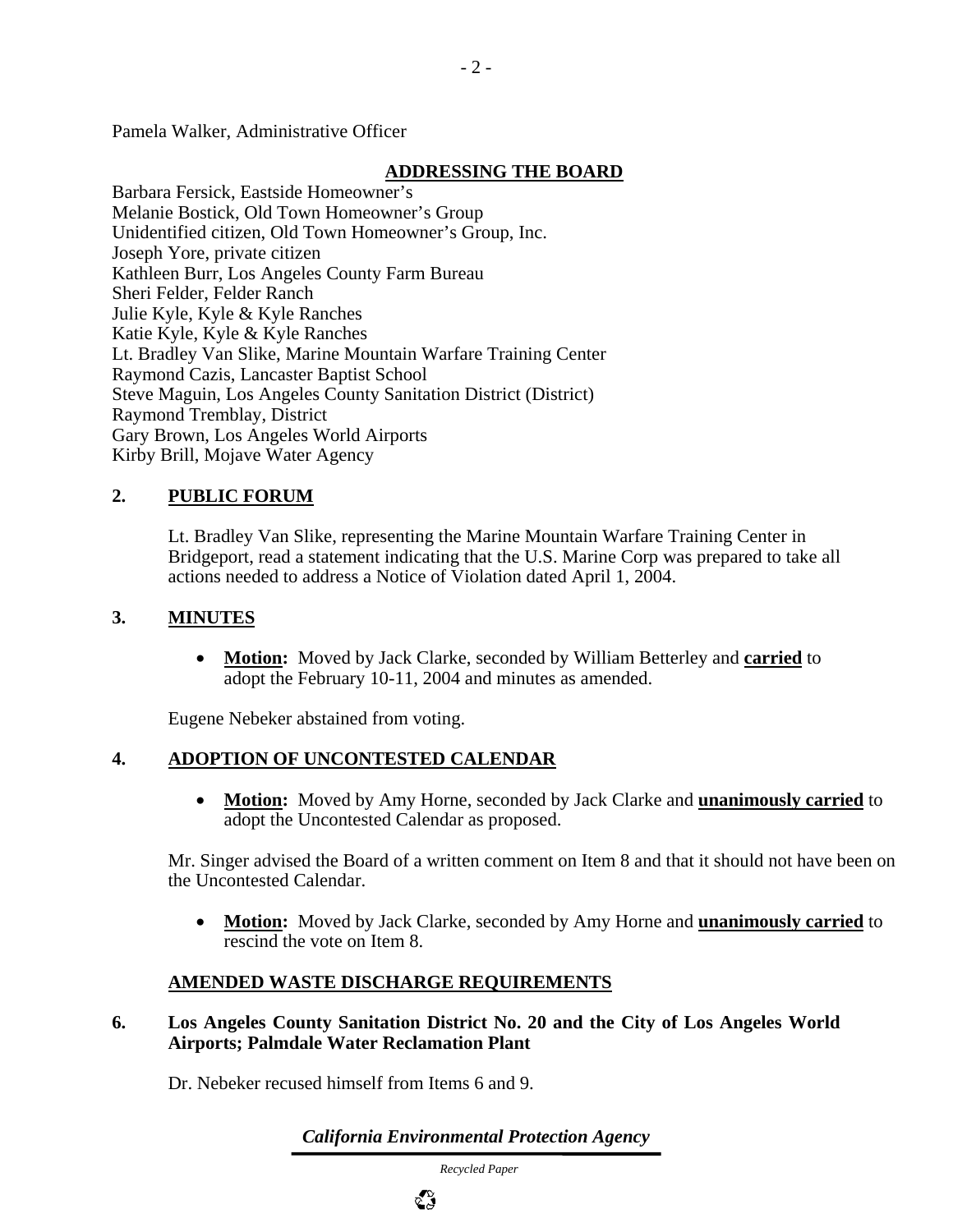Pamela Walker, Administrative Officer

#### **ADDRESSING THE BOARD**

Barbara Fersick, Eastside Homeowner's Melanie Bostick, Old Town Homeowner's Group Unidentified citizen, Old Town Homeowner's Group, Inc. Joseph Yore, private citizen Kathleen Burr, Los Angeles County Farm Bureau Sheri Felder, Felder Ranch Julie Kyle, Kyle & Kyle Ranches Katie Kyle, Kyle & Kyle Ranches Lt. Bradley Van Slike, Marine Mountain Warfare Training Center Raymond Cazis, Lancaster Baptist School Steve Maguin, Los Angeles County Sanitation District (District) Raymond Tremblay, District Gary Brown, Los Angeles World Airports Kirby Brill, Mojave Water Agency

### **2. PUBLIC FORUM**

Lt. Bradley Van Slike, representing the Marine Mountain Warfare Training Center in Bridgeport, read a statement indicating that the U.S. Marine Corp was prepared to take all actions needed to address a Notice of Violation dated April 1, 2004.

#### **3. MINUTES**

• **Motion:** Moved by Jack Clarke, seconded by William Betterley and **carried** to adopt the February 10-11, 2004 and minutes as amended.

Eugene Nebeker abstained from voting.

#### **4. ADOPTION OF UNCONTESTED CALENDAR**

• **Motion:** Moved by Amy Horne, seconded by Jack Clarke and **unanimously carried** to adopt the Uncontested Calendar as proposed.

Mr. Singer advised the Board of a written comment on Item 8 and that it should not have been on the Uncontested Calendar.

• **Motion:** Moved by Jack Clarke, seconded by Amy Horne and **unanimously carried** to rescind the vote on Item 8.

#### **AMENDED WASTE DISCHARGE REQUIREMENTS**

#### **6. Los Angeles County Sanitation District No. 20 and the City of Los Angeles World Airports; Palmdale Water Reclamation Plant**

Dr. Nebeker recused himself from Items 6 and 9.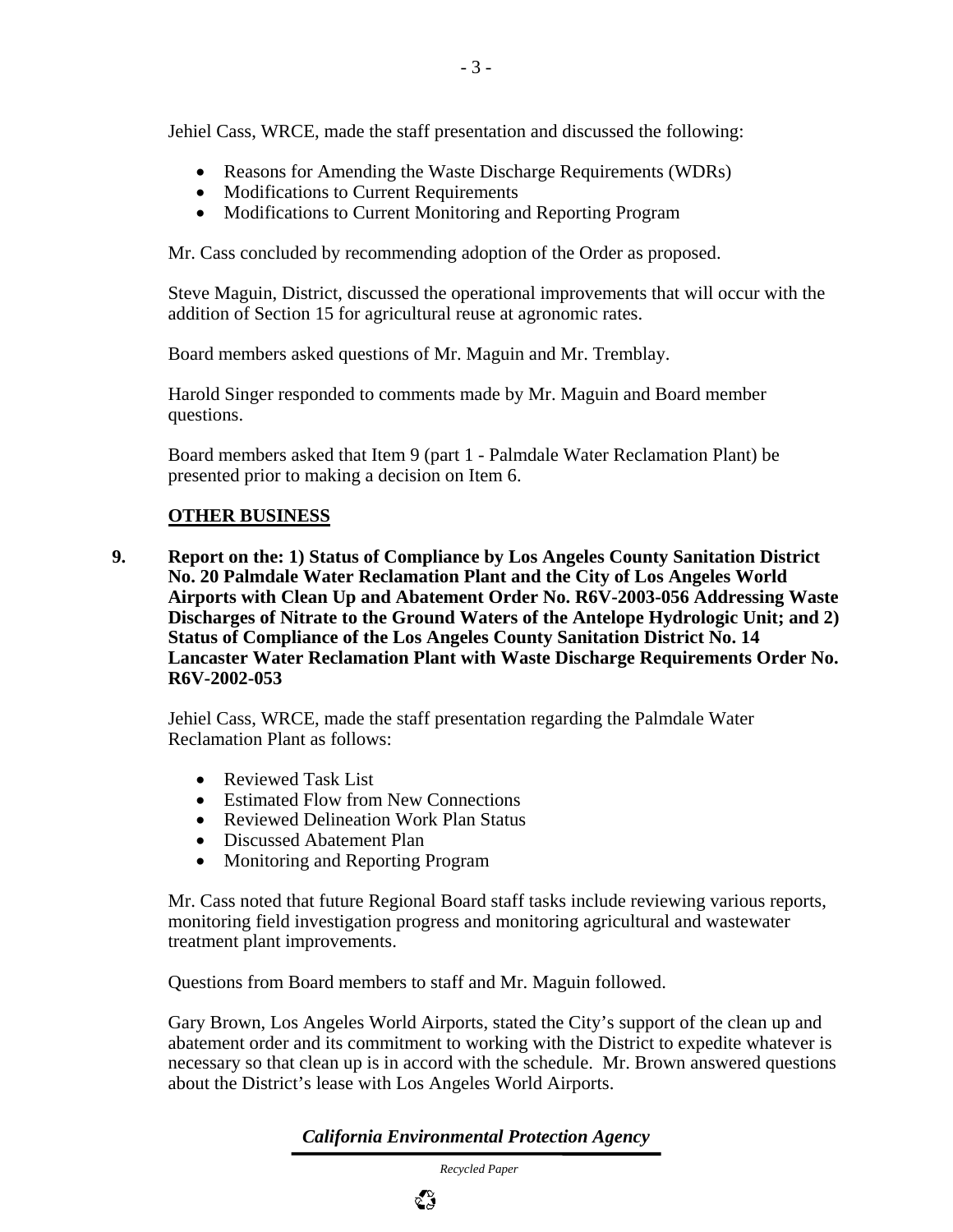Jehiel Cass, WRCE, made the staff presentation and discussed the following:

- Reasons for Amending the Waste Discharge Requirements (WDRs)
- Modifications to Current Requirements
- Modifications to Current Monitoring and Reporting Program

Mr. Cass concluded by recommending adoption of the Order as proposed.

Steve Maguin, District, discussed the operational improvements that will occur with the addition of Section 15 for agricultural reuse at agronomic rates.

Board members asked questions of Mr. Maguin and Mr. Tremblay.

Harold Singer responded to comments made by Mr. Maguin and Board member questions.

Board members asked that Item 9 (part 1 - Palmdale Water Reclamation Plant) be presented prior to making a decision on Item 6.

#### **OTHER BUSINESS**

**9. Report on the: 1) Status of Compliance by Los Angeles County Sanitation District No. 20 Palmdale Water Reclamation Plant and the City of Los Angeles World Airports with Clean Up and Abatement Order No. R6V-2003-056 Addressing Waste Discharges of Nitrate to the Ground Waters of the Antelope Hydrologic Unit; and 2) Status of Compliance of the Los Angeles County Sanitation District No. 14 Lancaster Water Reclamation Plant with Waste Discharge Requirements Order No. R6V-2002-053** 

Jehiel Cass, WRCE, made the staff presentation regarding the Palmdale Water Reclamation Plant as follows:

- Reviewed Task List
- Estimated Flow from New Connections
- Reviewed Delineation Work Plan Status
- Discussed Abatement Plan
- Monitoring and Reporting Program

Mr. Cass noted that future Regional Board staff tasks include reviewing various reports, monitoring field investigation progress and monitoring agricultural and wastewater treatment plant improvements.

Questions from Board members to staff and Mr. Maguin followed.

Gary Brown, Los Angeles World Airports, stated the City's support of the clean up and abatement order and its commitment to working with the District to expedite whatever is necessary so that clean up is in accord with the schedule. Mr. Brown answered questions about the District's lease with Los Angeles World Airports.

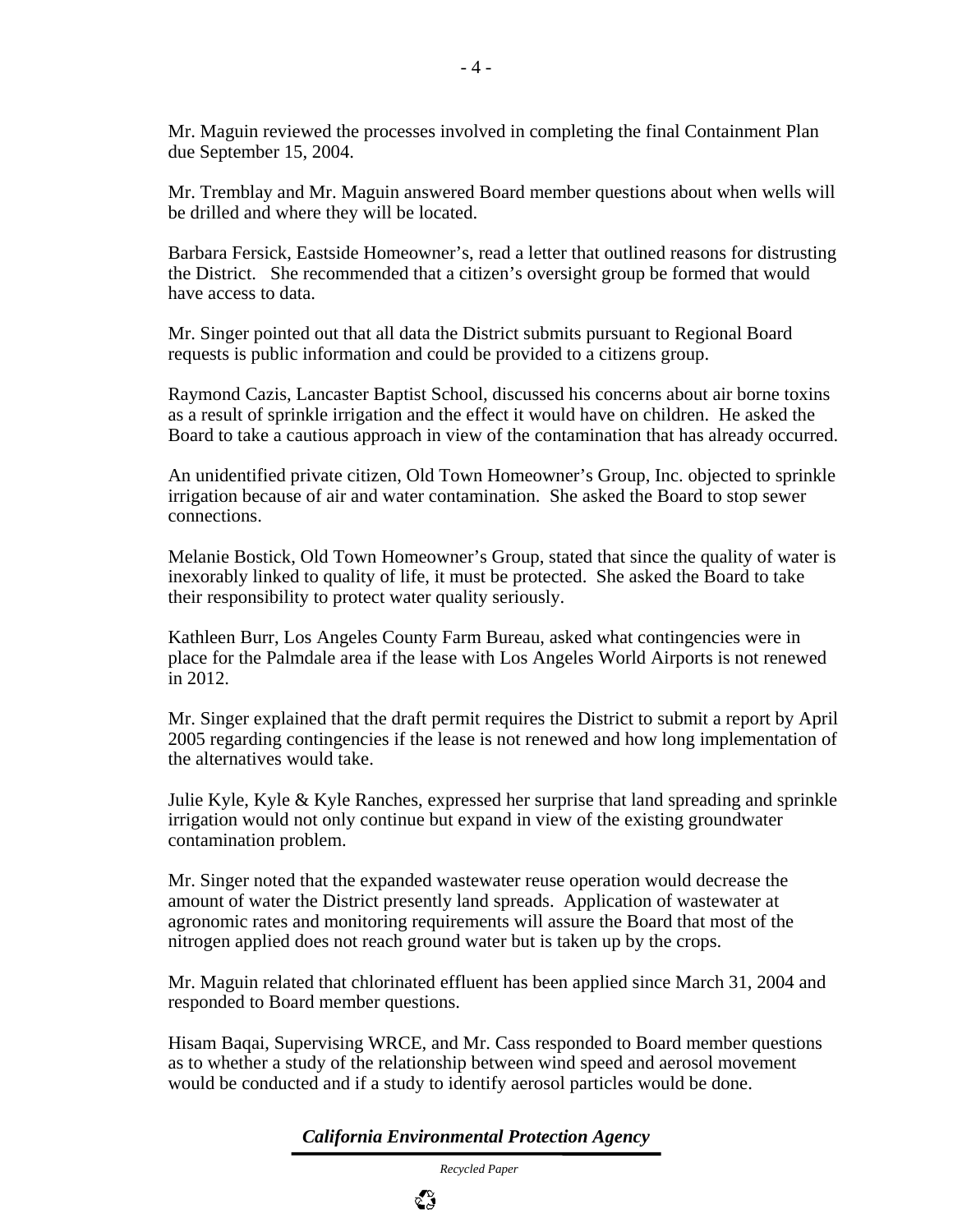- 4 -

Mr. Maguin reviewed the processes involved in completing the final Containment Plan due September 15, 2004.

Mr. Tremblay and Mr. Maguin answered Board member questions about when wells will be drilled and where they will be located.

Barbara Fersick, Eastside Homeowner's, read a letter that outlined reasons for distrusting the District. She recommended that a citizen's oversight group be formed that would have access to data.

Mr. Singer pointed out that all data the District submits pursuant to Regional Board requests is public information and could be provided to a citizens group.

Raymond Cazis, Lancaster Baptist School, discussed his concerns about air borne toxins as a result of sprinkle irrigation and the effect it would have on children. He asked the Board to take a cautious approach in view of the contamination that has already occurred.

An unidentified private citizen, Old Town Homeowner's Group, Inc. objected to sprinkle irrigation because of air and water contamination. She asked the Board to stop sewer connections.

Melanie Bostick, Old Town Homeowner's Group, stated that since the quality of water is inexorably linked to quality of life, it must be protected. She asked the Board to take their responsibility to protect water quality seriously.

Kathleen Burr, Los Angeles County Farm Bureau, asked what contingencies were in place for the Palmdale area if the lease with Los Angeles World Airports is not renewed in 2012.

Mr. Singer explained that the draft permit requires the District to submit a report by April 2005 regarding contingencies if the lease is not renewed and how long implementation of the alternatives would take.

Julie Kyle, Kyle & Kyle Ranches, expressed her surprise that land spreading and sprinkle irrigation would not only continue but expand in view of the existing groundwater contamination problem.

Mr. Singer noted that the expanded wastewater reuse operation would decrease the amount of water the District presently land spreads. Application of wastewater at agronomic rates and monitoring requirements will assure the Board that most of the nitrogen applied does not reach ground water but is taken up by the crops.

Mr. Maguin related that chlorinated effluent has been applied since March 31, 2004 and responded to Board member questions.

Hisam Baqai, Supervising WRCE, and Mr. Cass responded to Board member questions as to whether a study of the relationship between wind speed and aerosol movement would be conducted and if a study to identify aerosol particles would be done.

*California Environmental Protection Agency*

 *Recycled Paper*

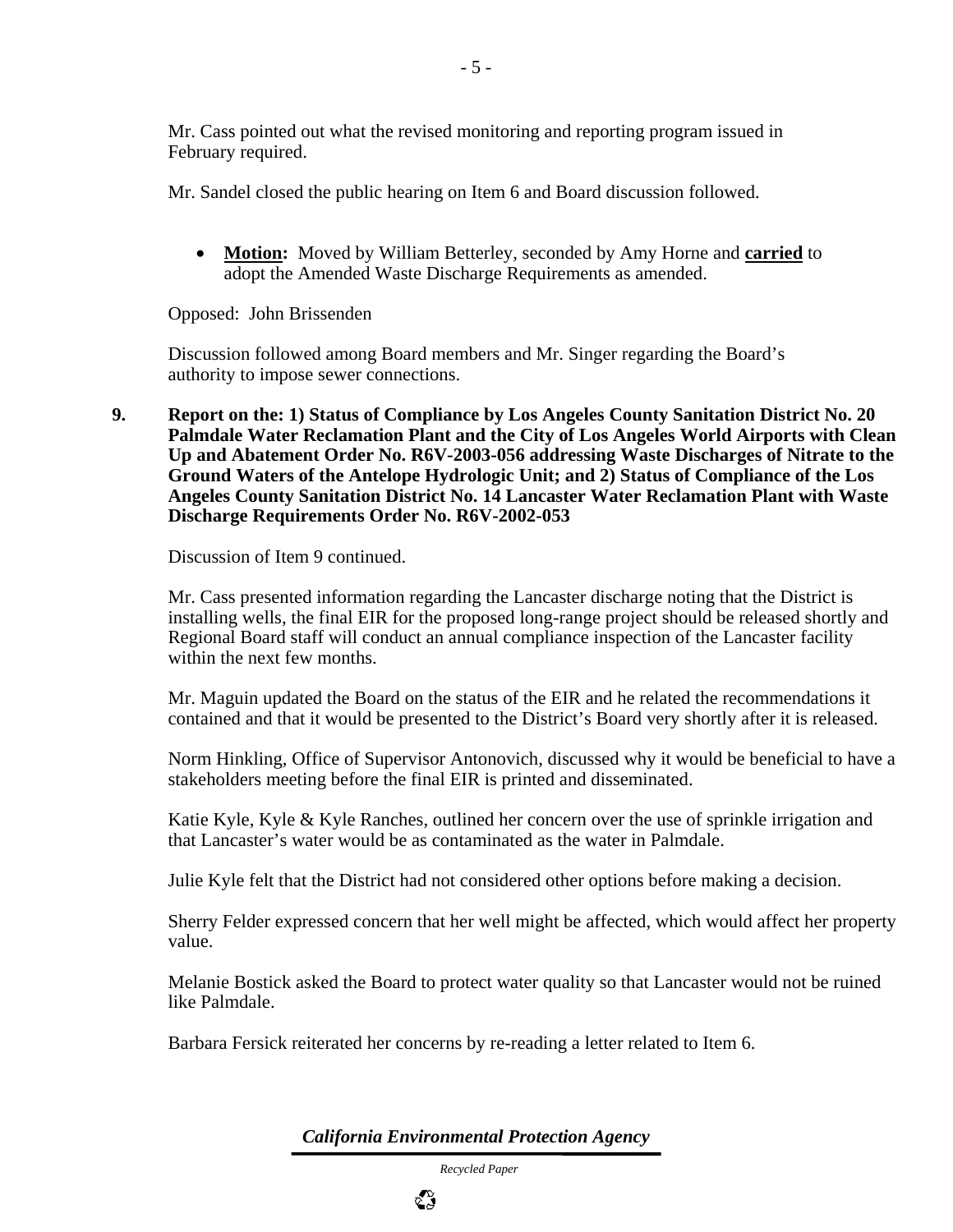Mr. Cass pointed out what the revised monitoring and reporting program issued in February required.

Mr. Sandel closed the public hearing on Item 6 and Board discussion followed.

• **Motion:** Moved by William Betterley, seconded by Amy Horne and **carried** to adopt the Amended Waste Discharge Requirements as amended.

Opposed: John Brissenden

Discussion followed among Board members and Mr. Singer regarding the Board's authority to impose sewer connections.

**9. Report on the: 1) Status of Compliance by Los Angeles County Sanitation District No. 20 Palmdale Water Reclamation Plant and the City of Los Angeles World Airports with Clean Up and Abatement Order No. R6V-2003-056 addressing Waste Discharges of Nitrate to the Ground Waters of the Antelope Hydrologic Unit; and 2) Status of Compliance of the Los Angeles County Sanitation District No. 14 Lancaster Water Reclamation Plant with Waste Discharge Requirements Order No. R6V-2002-053** 

Discussion of Item 9 continued.

Mr. Cass presented information regarding the Lancaster discharge noting that the District is installing wells, the final EIR for the proposed long-range project should be released shortly and Regional Board staff will conduct an annual compliance inspection of the Lancaster facility within the next few months.

Mr. Maguin updated the Board on the status of the EIR and he related the recommendations it contained and that it would be presented to the District's Board very shortly after it is released.

Norm Hinkling, Office of Supervisor Antonovich, discussed why it would be beneficial to have a stakeholders meeting before the final EIR is printed and disseminated.

Katie Kyle, Kyle & Kyle Ranches, outlined her concern over the use of sprinkle irrigation and that Lancaster's water would be as contaminated as the water in Palmdale.

Julie Kyle felt that the District had not considered other options before making a decision.

Sherry Felder expressed concern that her well might be affected, which would affect her property value.

Melanie Bostick asked the Board to protect water quality so that Lancaster would not be ruined like Palmdale.

Barbara Fersick reiterated her concerns by re-reading a letter related to Item 6.

*California Environmental Protection Agency*

 *Recycled Paper*

१३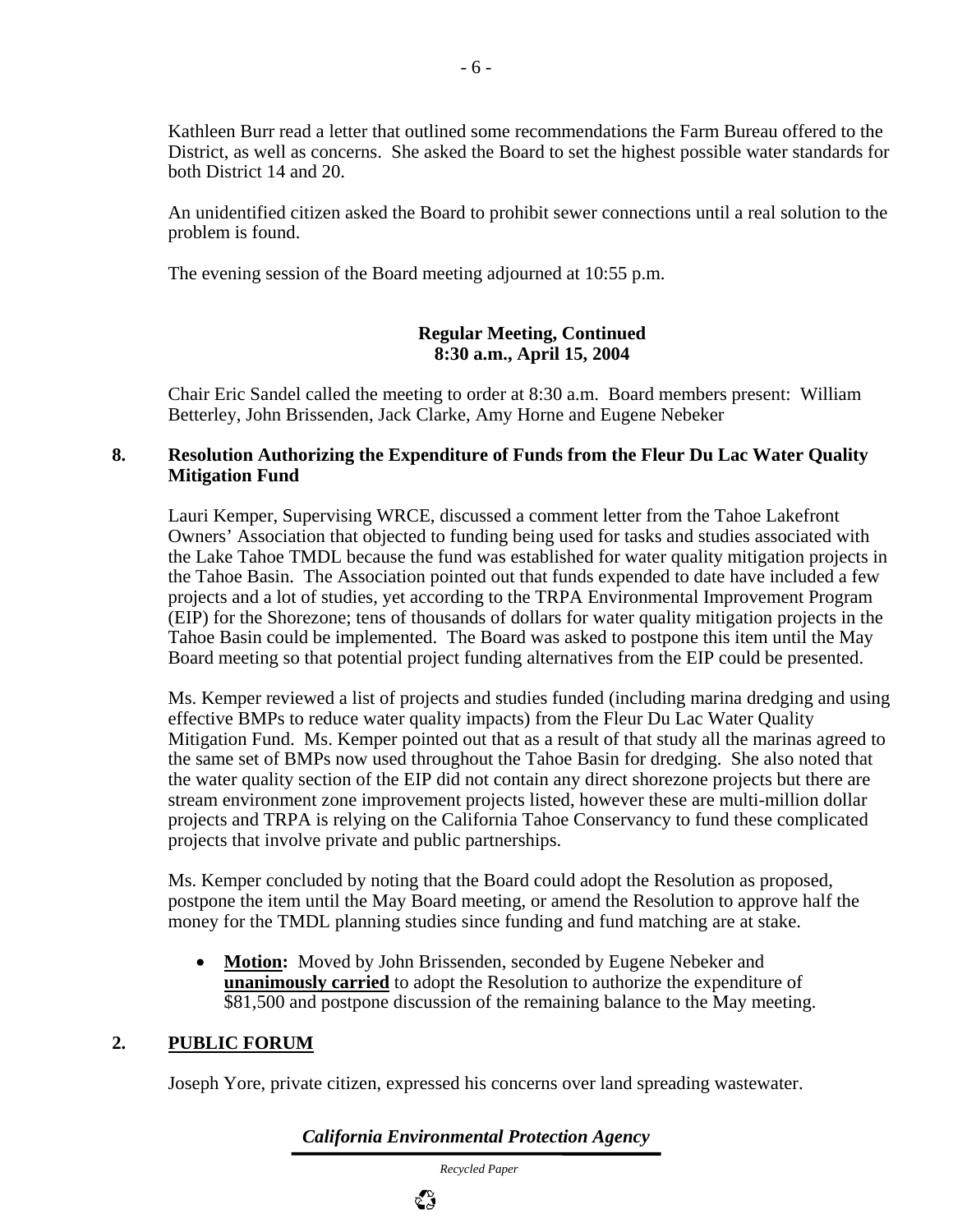Kathleen Burr read a letter that outlined some recommendations the Farm Bureau offered to the District, as well as concerns. She asked the Board to set the highest possible water standards for both District 14 and 20.

An unidentified citizen asked the Board to prohibit sewer connections until a real solution to the problem is found.

The evening session of the Board meeting adjourned at 10:55 p.m.

### **Regular Meeting, Continued 8:30 a.m., April 15, 2004**

Chair Eric Sandel called the meeting to order at 8:30 a.m. Board members present: William Betterley, John Brissenden, Jack Clarke, Amy Horne and Eugene Nebeker

#### **8. Resolution Authorizing the Expenditure of Funds from the Fleur Du Lac Water Quality Mitigation Fund**

Lauri Kemper, Supervising WRCE, discussed a comment letter from the Tahoe Lakefront Owners' Association that objected to funding being used for tasks and studies associated with the Lake Tahoe TMDL because the fund was established for water quality mitigation projects in the Tahoe Basin. The Association pointed out that funds expended to date have included a few projects and a lot of studies, yet according to the TRPA Environmental Improvement Program (EIP) for the Shorezone; tens of thousands of dollars for water quality mitigation projects in the Tahoe Basin could be implemented. The Board was asked to postpone this item until the May Board meeting so that potential project funding alternatives from the EIP could be presented.

Ms. Kemper reviewed a list of projects and studies funded (including marina dredging and using effective BMPs to reduce water quality impacts) from the Fleur Du Lac Water Quality Mitigation Fund. Ms. Kemper pointed out that as a result of that study all the marinas agreed to the same set of BMPs now used throughout the Tahoe Basin for dredging. She also noted that the water quality section of the EIP did not contain any direct shorezone projects but there are stream environment zone improvement projects listed, however these are multi-million dollar projects and TRPA is relying on the California Tahoe Conservancy to fund these complicated projects that involve private and public partnerships.

Ms. Kemper concluded by noting that the Board could adopt the Resolution as proposed, postpone the item until the May Board meeting, or amend the Resolution to approve half the money for the TMDL planning studies since funding and fund matching are at stake.

• **Motion:** Moved by John Brissenden, seconded by Eugene Nebeker and **unanimously carried** to adopt the Resolution to authorize the expenditure of \$81,500 and postpone discussion of the remaining balance to the May meeting.

# **2. PUBLIC FORUM**

Joseph Yore, private citizen, expressed his concerns over land spreading wastewater.

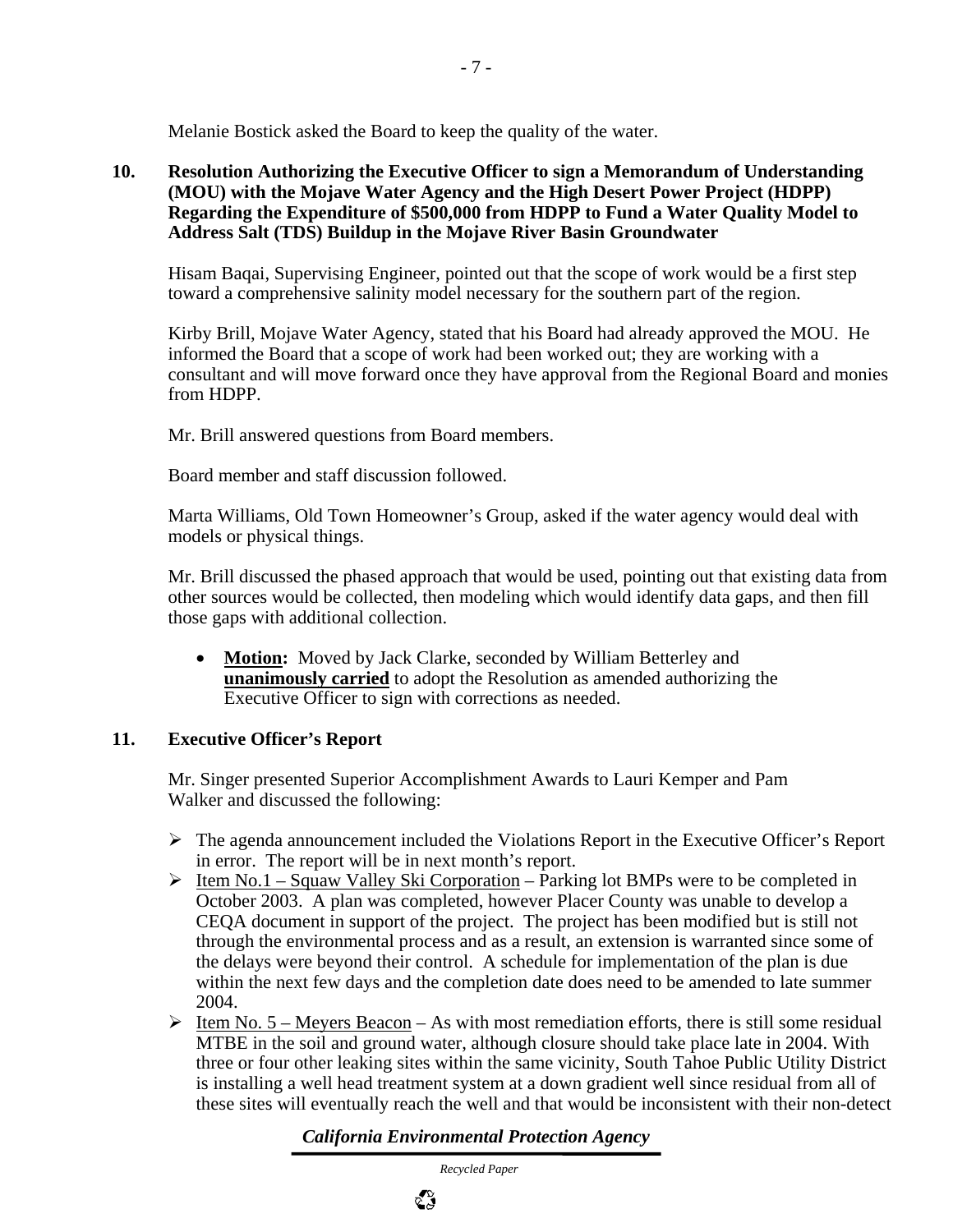Melanie Bostick asked the Board to keep the quality of the water.

**10. Resolution Authorizing the Executive Officer to sign a Memorandum of Understanding (MOU) with the Mojave Water Agency and the High Desert Power Project (HDPP) Regarding the Expenditure of \$500,000 from HDPP to Fund a Water Quality Model to Address Salt (TDS) Buildup in the Mojave River Basin Groundwater** 

Hisam Baqai, Supervising Engineer, pointed out that the scope of work would be a first step toward a comprehensive salinity model necessary for the southern part of the region.

Kirby Brill, Mojave Water Agency, stated that his Board had already approved the MOU. He informed the Board that a scope of work had been worked out; they are working with a consultant and will move forward once they have approval from the Regional Board and monies from HDPP.

Mr. Brill answered questions from Board members.

Board member and staff discussion followed.

Marta Williams, Old Town Homeowner's Group, asked if the water agency would deal with models or physical things.

Mr. Brill discussed the phased approach that would be used, pointing out that existing data from other sources would be collected, then modeling which would identify data gaps, and then fill those gaps with additional collection.

• **Motion:** Moved by Jack Clarke, seconded by William Betterley and **unanimously carried** to adopt the Resolution as amended authorizing the Executive Officer to sign with corrections as needed.

# **11. Executive Officer's Report**

Mr. Singer presented Superior Accomplishment Awards to Lauri Kemper and Pam Walker and discussed the following:

- $\triangleright$  The agenda announcement included the Violations Report in the Executive Officer's Report in error. The report will be in next month's report.
- $\triangleright$  Item No.1 Squaw Valley Ski Corporation Parking lot BMPs were to be completed in October 2003. A plan was completed, however Placer County was unable to develop a CEQA document in support of the project. The project has been modified but is still not through the environmental process and as a result, an extension is warranted since some of the delays were beyond their control. A schedule for implementation of the plan is due within the next few days and the completion date does need to be amended to late summer 2004.
- $\triangleright$  Item No. 5 Meyers Beacon As with most remediation efforts, there is still some residual MTBE in the soil and ground water, although closure should take place late in 2004. With three or four other leaking sites within the same vicinity, South Tahoe Public Utility District is installing a well head treatment system at a down gradient well since residual from all of these sites will eventually reach the well and that would be inconsistent with their non-detect

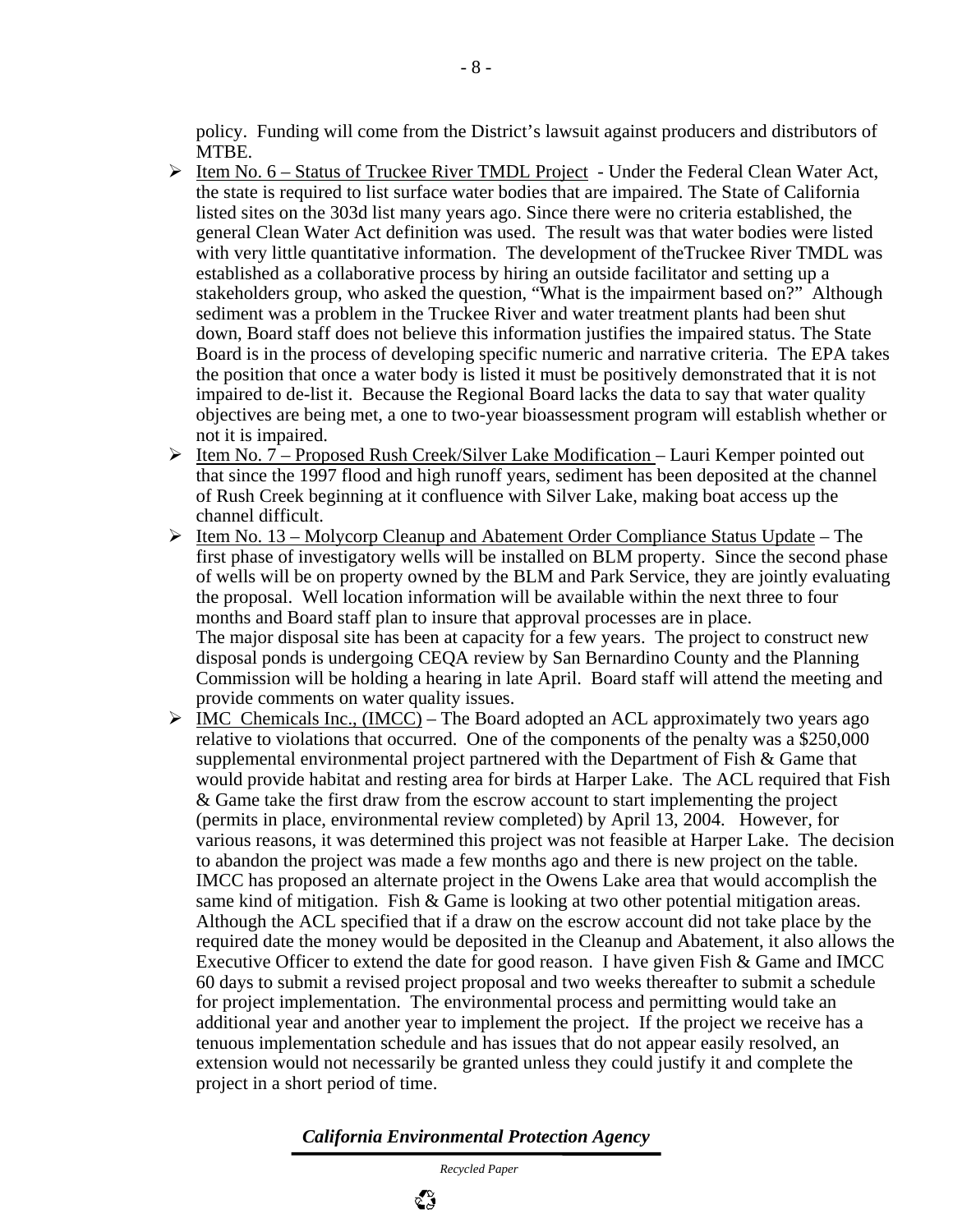policy. Funding will come from the District's lawsuit against producers and distributors of MTBE.

- $\triangleright$  Item No. 6 Status of Truckee River TMDL Project Under the Federal Clean Water Act, the state is required to list surface water bodies that are impaired. The State of California listed sites on the 303d list many years ago. Since there were no criteria established, the general Clean Water Act definition was used. The result was that water bodies were listed with very little quantitative information. The development of the Truckee River TMDL was established as a collaborative process by hiring an outside facilitator and setting up a stakeholders group, who asked the question, "What is the impairment based on?" Although sediment was a problem in the Truckee River and water treatment plants had been shut down, Board staff does not believe this information justifies the impaired status. The State Board is in the process of developing specific numeric and narrative criteria. The EPA takes the position that once a water body is listed it must be positively demonstrated that it is not impaired to de-list it. Because the Regional Board lacks the data to say that water quality objectives are being met, a one to two-year bioassessment program will establish whether or not it is impaired.
- $\triangleright$  Item No. 7 Proposed Rush Creek/Silver Lake Modification Lauri Kemper pointed out that since the 1997 flood and high runoff years, sediment has been deposited at the channel of Rush Creek beginning at it confluence with Silver Lake, making boat access up the channel difficult.
- $\triangleright$  Item No. 13 Molycorp Cleanup and Abatement Order Compliance Status Update The first phase of investigatory wells will be installed on BLM property. Since the second phase of wells will be on property owned by the BLM and Park Service, they are jointly evaluating the proposal. Well location information will be available within the next three to four months and Board staff plan to insure that approval processes are in place. The major disposal site has been at capacity for a few years. The project to construct new disposal ponds is undergoing CEQA review by San Bernardino County and the Planning Commission will be holding a hearing in late April. Board staff will attend the meeting and provide comments on water quality issues.
- $\triangleright$  IMC Chemicals Inc., (IMCC) The Board adopted an ACL approximately two years ago relative to violations that occurred. One of the components of the penalty was a \$250,000 supplemental environmental project partnered with the Department of Fish & Game that would provide habitat and resting area for birds at Harper Lake. The ACL required that Fish & Game take the first draw from the escrow account to start implementing the project (permits in place, environmental review completed) by April 13, 2004. However, for various reasons, it was determined this project was not feasible at Harper Lake. The decision to abandon the project was made a few months ago and there is new project on the table. IMCC has proposed an alternate project in the Owens Lake area that would accomplish the same kind of mitigation. Fish & Game is looking at two other potential mitigation areas. Although the ACL specified that if a draw on the escrow account did not take place by the required date the money would be deposited in the Cleanup and Abatement, it also allows the Executive Officer to extend the date for good reason. I have given Fish & Game and IMCC 60 days to submit a revised project proposal and two weeks thereafter to submit a schedule for project implementation. The environmental process and permitting would take an additional year and another year to implement the project. If the project we receive has a tenuous implementation schedule and has issues that do not appear easily resolved, an extension would not necessarily be granted unless they could justify it and complete the project in a short period of time.

#### *California Environmental Protection Agency*

 *Recycled Paper*

१३

- 8 -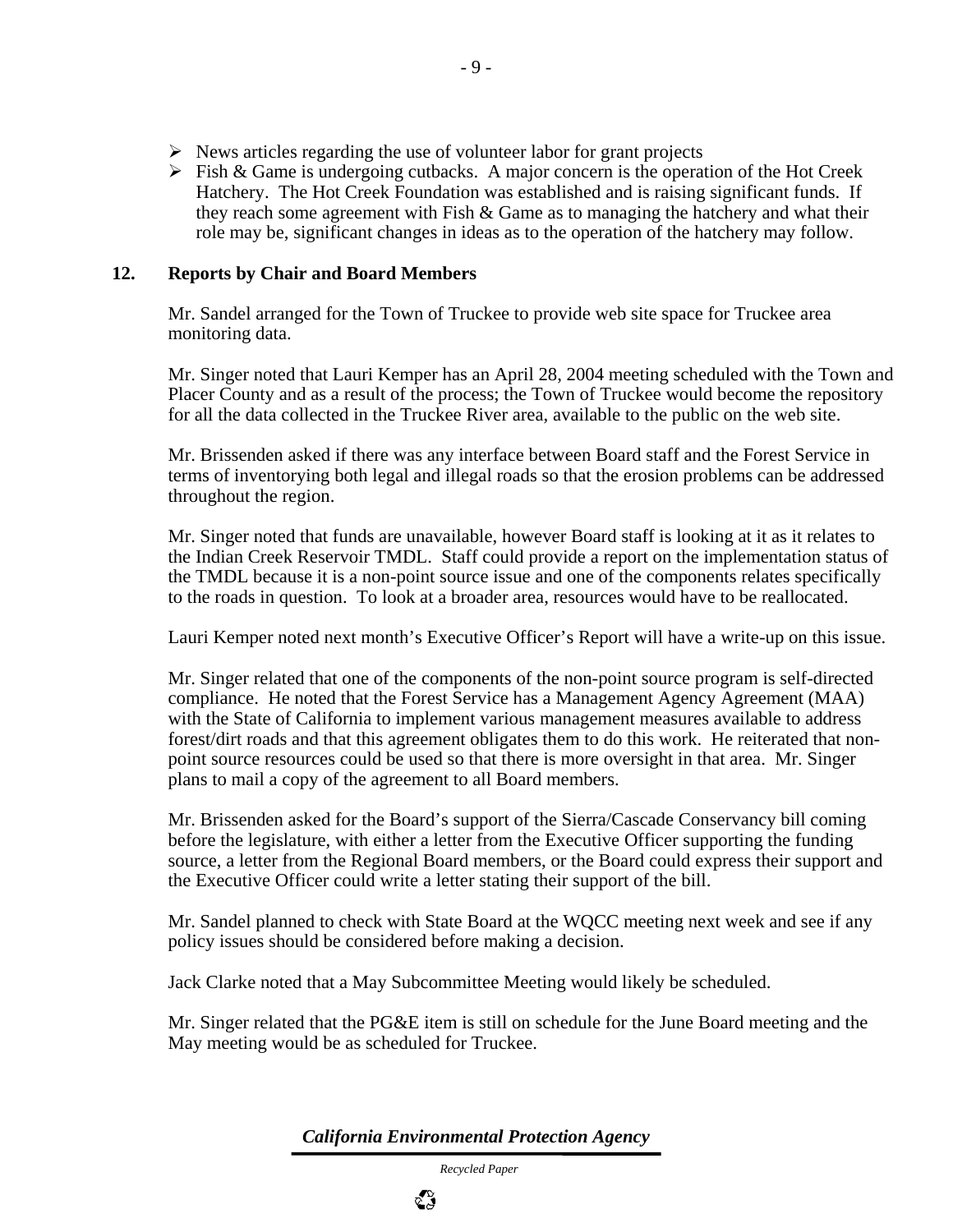- $\triangleright$  News articles regarding the use of volunteer labor for grant projects
- $\triangleright$  Fish & Game is undergoing cutbacks. A major concern is the operation of the Hot Creek Hatchery. The Hot Creek Foundation was established and is raising significant funds. If they reach some agreement with Fish & Game as to managing the hatchery and what their role may be, significant changes in ideas as to the operation of the hatchery may follow.

### **12. Reports by Chair and Board Members**

Mr. Sandel arranged for the Town of Truckee to provide web site space for Truckee area monitoring data.

Mr. Singer noted that Lauri Kemper has an April 28, 2004 meeting scheduled with the Town and Placer County and as a result of the process; the Town of Truckee would become the repository for all the data collected in the Truckee River area, available to the public on the web site.

Mr. Brissenden asked if there was any interface between Board staff and the Forest Service in terms of inventorying both legal and illegal roads so that the erosion problems can be addressed throughout the region.

Mr. Singer noted that funds are unavailable, however Board staff is looking at it as it relates to the Indian Creek Reservoir TMDL. Staff could provide a report on the implementation status of the TMDL because it is a non-point source issue and one of the components relates specifically to the roads in question. To look at a broader area, resources would have to be reallocated.

Lauri Kemper noted next month's Executive Officer's Report will have a write-up on this issue.

Mr. Singer related that one of the components of the non-point source program is self-directed compliance. He noted that the Forest Service has a Management Agency Agreement (MAA) with the State of California to implement various management measures available to address forest/dirt roads and that this agreement obligates them to do this work. He reiterated that nonpoint source resources could be used so that there is more oversight in that area. Mr. Singer plans to mail a copy of the agreement to all Board members.

Mr. Brissenden asked for the Board's support of the Sierra/Cascade Conservancy bill coming before the legislature, with either a letter from the Executive Officer supporting the funding source, a letter from the Regional Board members, or the Board could express their support and the Executive Officer could write a letter stating their support of the bill.

Mr. Sandel planned to check with State Board at the WQCC meeting next week and see if any policy issues should be considered before making a decision.

Jack Clarke noted that a May Subcommittee Meeting would likely be scheduled.

Mr. Singer related that the PG&E item is still on schedule for the June Board meeting and the May meeting would be as scheduled for Truckee.